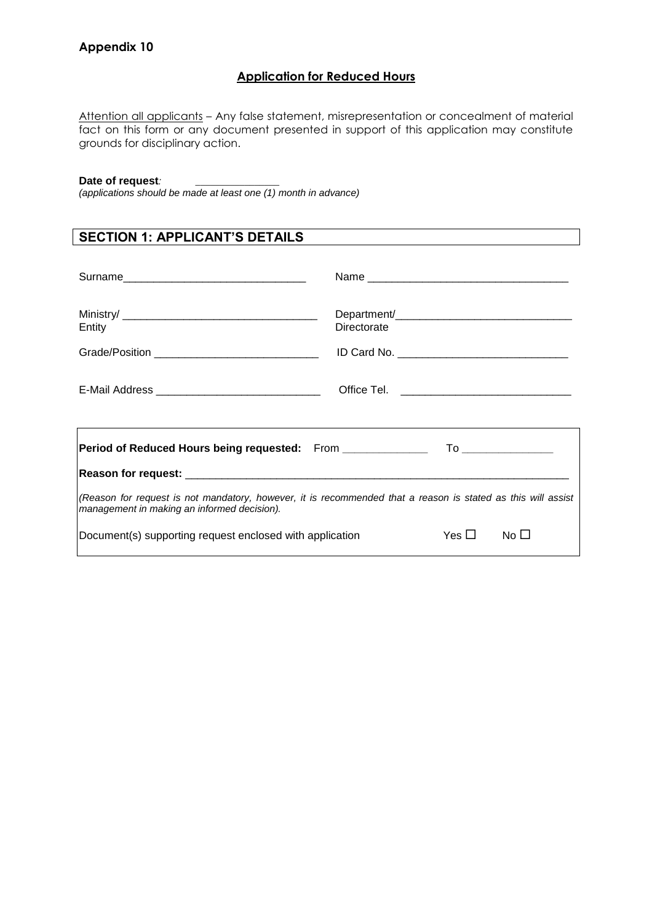### **Application for Reduced Hours**

Attention all applicants - Any false statement, misrepresentation or concealment of material fact on this form or any document presented in support of this application may constitute grounds for disciplinary action.

#### Date of request*:*

*(applications should be made at least one (1) month in advance)*

## **SECTION 1: APPLICANT'S DETAILS**

|                                                                                                                                                             | Name        |  |  |  |
|-------------------------------------------------------------------------------------------------------------------------------------------------------------|-------------|--|--|--|
| Entity                                                                                                                                                      | Directorate |  |  |  |
| E-Mail Address __________________________________                                                                                                           |             |  |  |  |
| Period of Reduced Hours being requested: From ___________________________________                                                                           |             |  |  |  |
|                                                                                                                                                             |             |  |  |  |
| (Reason for request is not mandatory, however, it is recommended that a reason is stated as this will assist<br>management in making an informed decision). |             |  |  |  |
| Yes $\square$<br>Document(s) supporting request enclosed with application<br>No <sub>1</sub>                                                                |             |  |  |  |